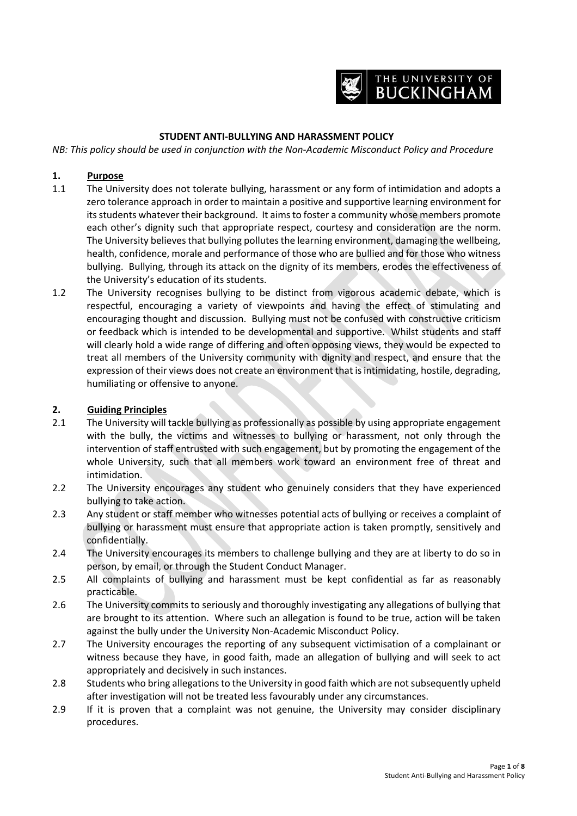

## **STUDENT ANTI-BULLYING AND HARASSMENT POLICY**

*NB: This policy should be used in conjunction with the Non-Academic Misconduct Policy and Procedure*

### **1. Purpose**

- 1.1 The University does not tolerate bullying, harassment or any form of intimidation and adopts a zero tolerance approach in order to maintain a positive and supportive learning environment for its students whatever their background. It aims to foster a community whose members promote each other's dignity such that appropriate respect, courtesy and consideration are the norm. The University believes that bullying pollutes the learning environment, damaging the wellbeing, health, confidence, morale and performance of those who are bullied and for those who witness bullying. Bullying, through its attack on the dignity of its members, erodes the effectiveness of the University's education of its students.
- 1.2 The University recognises bullying to be distinct from vigorous academic debate, which is respectful, encouraging a variety of viewpoints and having the effect of stimulating and encouraging thought and discussion. Bullying must not be confused with constructive criticism or feedback which is intended to be developmental and supportive. Whilst students and staff will clearly hold a wide range of differing and often opposing views, they would be expected to treat all members of the University community with dignity and respect, and ensure that the expression of their views does not create an environment that is intimidating, hostile, degrading, humiliating or offensive to anyone.

#### **2. Guiding Principles**

- 2.1 The University will tackle bullying as professionally as possible by using appropriate engagement with the bully, the victims and witnesses to bullying or harassment, not only through the intervention of staff entrusted with such engagement, but by promoting the engagement of the whole University, such that all members work toward an environment free of threat and intimidation.
- 2.2 The University encourages any student who genuinely considers that they have experienced bullying to take action.
- 2.3 Any student or staff member who witnesses potential acts of bullying or receives a complaint of bullying or harassment must ensure that appropriate action is taken promptly, sensitively and confidentially.
- 2.4 The University encourages its members to challenge bullying and they are at liberty to do so in person, by email, or through the Student Conduct Manager.
- 2.5 All complaints of bullying and harassment must be kept confidential as far as reasonably practicable.
- 2.6 The University commits to seriously and thoroughly investigating any allegations of bullying that are brought to its attention. Where such an allegation is found to be true, action will be taken against the bully under the University Non-Academic Misconduct Policy.
- 2.7 The University encourages the reporting of any subsequent victimisation of a complainant or witness because they have, in good faith, made an allegation of bullying and will seek to act appropriately and decisively in such instances.
- 2.8 Students who bring allegations to the University in good faith which are not subsequently upheld after investigation will not be treated less favourably under any circumstances.
- 2.9 If it is proven that a complaint was not genuine, the University may consider disciplinary procedures.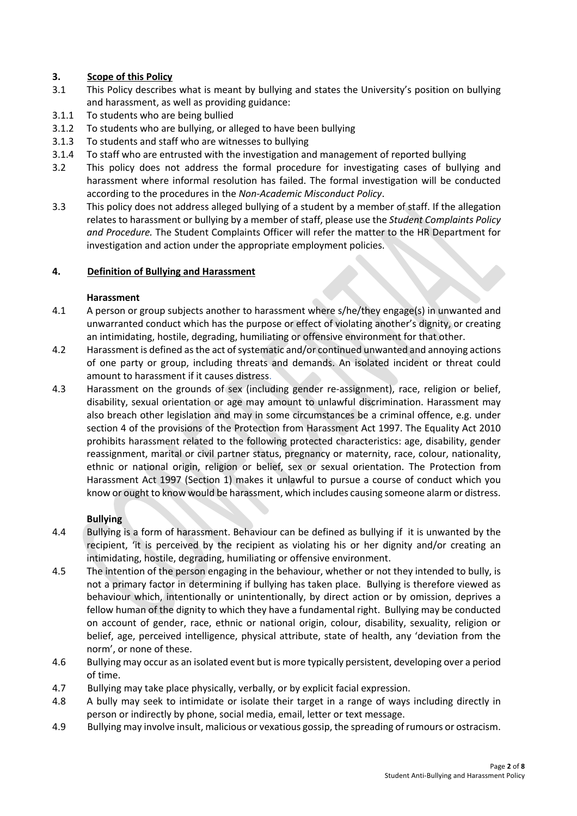## **3. Scope of this Policy**

- 3.1 This Policy describes what is meant by bullying and states the University's position on bullying and harassment, as well as providing guidance:
- 3.1.1 To students who are being bullied
- 3.1.2 To students who are bullying, or alleged to have been bullying
- 3.1.3 To students and staff who are witnesses to bullying
- 3.1.4 To staff who are entrusted with the investigation and management of reported bullying
- 3.2 This policy does not address the formal procedure for investigating cases of bullying and harassment where informal resolution has failed. The formal investigation will be conducted according to the procedures in the *Non-Academic Misconduct Policy*.
- 3.3 This policy does not address alleged bullying of a student by a member of staff. If the allegation relates to harassment or bullying by a member of staff, please use the *Student Complaints Policy and Procedure.* The Student Complaints Officer will refer the matter to the HR Department for investigation and action under the appropriate employment policies.

### **4. Definition of Bullying and Harassment**

#### **Harassment**

- 4.1 A person or group subjects another to harassment where s/he/they engage(s) in unwanted and unwarranted conduct which has the purpose or effect of violating another's dignity, or creating an intimidating, hostile, degrading, humiliating or offensive environment for that other.
- 4.2 Harassment is defined as the act of systematic and/or continued unwanted and annoying actions of one party or group, including threats and demands. An isolated incident or threat could amount to harassment if it causes distress.
- 4.3 Harassment on the grounds of sex (including gender re-assignment), race, religion or belief, disability, sexual orientation or age may amount to unlawful discrimination. Harassment may also breach other legislation and may in some circumstances be a criminal offence, e.g. under section 4 of the provisions of the Protection from Harassment Act 1997. The Equality Act 2010 prohibits harassment related to the following protected characteristics: age, disability, gender reassignment, marital or civil partner status, pregnancy or maternity, race, colour, nationality, ethnic or national origin, religion or belief, sex or sexual orientation. The Protection from Harassment Act 1997 (Section 1) makes it unlawful to pursue a course of conduct which you know or ought to know would be harassment, which includes causing someone alarm or distress.

### **Bullying**

- 4.4 Bullying is a form of harassment. Behaviour can be defined as bullying if it is unwanted by the recipient, 'it is perceived by the recipient as violating his or her dignity and/or creating an intimidating, hostile, degrading, humiliating or offensive environment.
- 4.5 The intention of the person engaging in the behaviour, whether or not they intended to bully, is not a primary factor in determining if bullying has taken place. Bullying is therefore viewed as behaviour which, intentionally or unintentionally, by direct action or by omission, deprives a fellow human of the dignity to which they have a fundamental right. Bullying may be conducted on account of gender, race, ethnic or national origin, colour, disability, sexuality, religion or belief, age, perceived intelligence, physical attribute, state of health, any 'deviation from the norm', or none of these.
- 4.6 Bullying may occur as an isolated event but is more typically persistent, developing over a period of time.
- 4.7 Bullying may take place physically, verbally, or by explicit facial expression.
- 4.8 A bully may seek to intimidate or isolate their target in a range of ways including directly in person or indirectly by phone, social media, email, letter or text message.
- 4.9 Bullying may involve insult, malicious or vexatious gossip, the spreading of rumours or ostracism.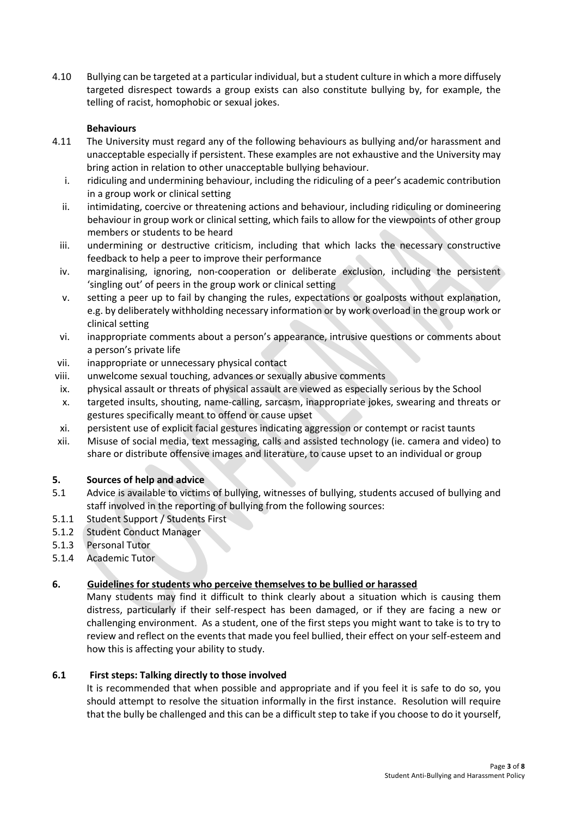4.10 Bullying can be targeted at a particular individual, but a student culture in which a more diffusely targeted disrespect towards a group exists can also constitute bullying by, for example, the telling of racist, homophobic or sexual jokes.

## **Behaviours**

- 4.11 The University must regard any of the following behaviours as bullying and/or harassment and unacceptable especially if persistent. These examples are not exhaustive and the University may bring action in relation to other unacceptable bullying behaviour.
	- i. ridiculing and undermining behaviour, including the ridiculing of a peer's academic contribution in a group work or clinical setting
	- ii. intimidating, coercive or threatening actions and behaviour, including ridiculing or domineering behaviour in group work or clinical setting, which fails to allow for the viewpoints of other group members or students to be heard
	- iii. undermining or destructive criticism, including that which lacks the necessary constructive feedback to help a peer to improve their performance
	- iv. marginalising, ignoring, non-cooperation or deliberate exclusion, including the persistent 'singling out' of peers in the group work or clinical setting
	- v. setting a peer up to fail by changing the rules, expectations or goalposts without explanation, e.g. by deliberately withholding necessary information or by work overload in the group work or clinical setting
	- vi. inappropriate comments about a person's appearance, intrusive questions or comments about a person's private life
- vii. inappropriate or unnecessary physical contact
- viii. unwelcome sexual touching, advances or sexually abusive comments
- ix. physical assault or threats of physical assault are viewed as especially serious by the School
- x. targeted insults, shouting, name-calling, sarcasm, inappropriate jokes, swearing and threats or gestures specifically meant to offend or cause upset
- xi. persistent use of explicit facial gestures indicating aggression or contempt or racist taunts
- xii. Misuse of social media, text messaging, calls and assisted technology (ie. camera and video) to share or distribute offensive images and literature, to cause upset to an individual or group

### **5. Sources of help and advice**

- 5.1 Advice is available to victims of bullying, witnesses of bullying, students accused of bullying and staff involved in the reporting of bullying from the following sources:
- 5.1.1 Student Support / Students First
- 5.1.2 Student Conduct Manager
- 5.1.3 Personal Tutor
- 5.1.4 Academic Tutor

### **6. Guidelines for students who perceive themselves to be bullied or harassed**

Many students may find it difficult to think clearly about a situation which is causing them distress, particularly if their self-respect has been damaged, or if they are facing a new or challenging environment. As a student, one of the first steps you might want to take is to try to review and reflect on the events that made you feel bullied, their effect on your self-esteem and how this is affecting your ability to study.

### **6.1 First steps: Talking directly to those involved**

It is recommended that when possible and appropriate and if you feel it is safe to do so, you should attempt to resolve the situation informally in the first instance. Resolution will require that the bully be challenged and this can be a difficult step to take if you choose to do it yourself,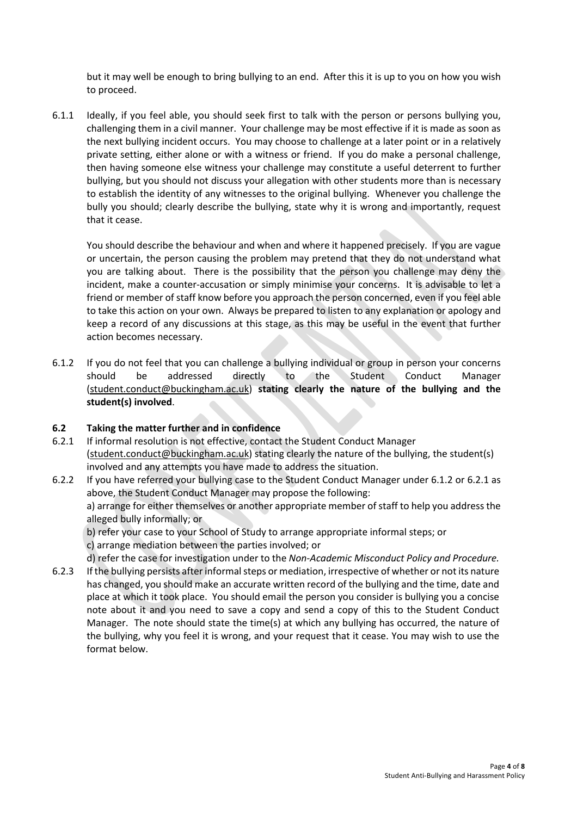but it may well be enough to bring bullying to an end. After this it is up to you on how you wish to proceed.

6.1.1 Ideally, if you feel able, you should seek first to talk with the person or persons bullying you, challenging them in a civil manner. Your challenge may be most effective if it is made as soon as the next bullying incident occurs. You may choose to challenge at a later point or in a relatively private setting, either alone or with a witness or friend. If you do make a personal challenge, then having someone else witness your challenge may constitute a useful deterrent to further bullying, but you should not discuss your allegation with other students more than is necessary to establish the identity of any witnesses to the original bullying. Whenever you challenge the bully you should; clearly describe the bullying, state why it is wrong and importantly, request that it cease.

You should describe the behaviour and when and where it happened precisely. If you are vague or uncertain, the person causing the problem may pretend that they do not understand what you are talking about. There is the possibility that the person you challenge may deny the incident, make a counter-accusation or simply minimise your concerns. It is advisable to let a friend or member of staff know before you approach the person concerned, even if you feel able to take this action on your own. Always be prepared to listen to any explanation or apology and keep a record of any discussions at this stage, as this may be useful in the event that further action becomes necessary.

6.1.2 If you do not feel that you can challenge a bullying individual or group in person your concerns should be addressed directly to the Student Conduct Manager (student.conduct@buckingham.ac.uk) **stating clearly the nature of the bullying and the student(s) involved**.

### **6.2 Taking the matter further and in confidence**

- 6.2.1 If informal resolution is not effective, contact the Student Conduct Manager (student.conduct@buckingham.ac.uk) stating clearly the nature of the bullying, the student(s) involved and any attempts you have made to address the situation.
- 6.2.2 If you have referred your bullying case to the Student Conduct Manager under 6.1.2 or 6.2.1 as above, the Student Conduct Manager may propose the following: a) arrange for either themselves or another appropriate member of staff to help you address the alleged bully informally; or b) refer your case to your School of Study to arrange appropriate informal steps; or
	- c) arrange mediation between the parties involved; or

d) refer the case for investigation under to the *Non-Academic Misconduct Policy and Procedure.* 

6.2.3 If the bullying persists after informal steps or mediation, irrespective of whether or not its nature has changed, you should make an accurate written record of the bullying and the time, date and place at which it took place. You should email the person you consider is bullying you a concise note about it and you need to save a copy and send a copy of this to the Student Conduct Manager. The note should state the time(s) at which any bullying has occurred, the nature of the bullying, why you feel it is wrong, and your request that it cease. You may wish to use the format below.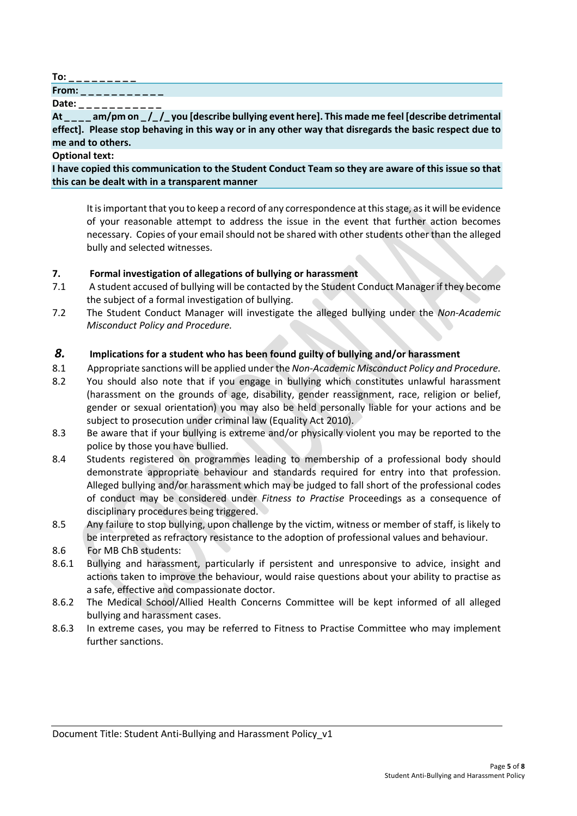**To: \_ \_ \_ \_ \_ \_ \_ \_ \_** 

**From:** \_\_\_\_\_

**Date: \_ \_ \_ \_ \_ \_ \_ \_ \_ \_ \_** 

At \_\_\_\_ am/pm on \_/\_/\_you [describe bullying event here]. This made me feel [describe detrimental **effect]. Please stop behaving in this way or in any other way that disregards the basic respect due to me and to others.** 

**Optional text:** 

**I have copied this communication to the Student Conduct Team so they are aware of this issue so that this can be dealt with in a transparent manner** 

It is important that you to keep a record of any correspondence at this stage, as it will be evidence of your reasonable attempt to address the issue in the event that further action becomes necessary. Copies of your email should not be shared with other students other than the alleged bully and selected witnesses.

# **7. Formal investigation of allegations of bullying or harassment**

- 7.1 A student accused of bullying will be contacted by the Student Conduct Manager if they become the subject of a formal investigation of bullying.
- 7.2 The Student Conduct Manager will investigate the alleged bullying under the *Non-Academic Misconduct Policy and Procedure.*

# *8.* **Implications for a student who has been found guilty of bullying and/or harassment**

- 8.1 Appropriate sanctions will be applied under the *Non-Academic Misconduct Policy and Procedure.*
- 8.2 You should also note that if you engage in bullying which constitutes unlawful harassment (harassment on the grounds of age, disability, gender reassignment, race, religion or belief, gender or sexual orientation) you may also be held personally liable for your actions and be subject to prosecution under criminal law (Equality Act 2010).
- 8.3 Be aware that if your bullying is extreme and/or physically violent you may be reported to the police by those you have bullied.
- 8.4 Students registered on programmes leading to membership of a professional body should demonstrate appropriate behaviour and standards required for entry into that profession. Alleged bullying and/or harassment which may be judged to fall short of the professional codes of conduct may be considered under *Fitness to Practise* Proceedings as a consequence of disciplinary procedures being triggered.
- 8.5 Any failure to stop bullying, upon challenge by the victim, witness or member of staff, is likely to be interpreted as refractory resistance to the adoption of professional values and behaviour.
- 8.6 For MB ChB students:
- 8.6.1 Bullying and harassment, particularly if persistent and unresponsive to advice, insight and actions taken to improve the behaviour, would raise questions about your ability to practise as a safe, effective and compassionate doctor.
- 8.6.2 The Medical School/Allied Health Concerns Committee will be kept informed of all alleged bullying and harassment cases.
- 8.6.3 In extreme cases, you may be referred to Fitness to Practise Committee who may implement further sanctions.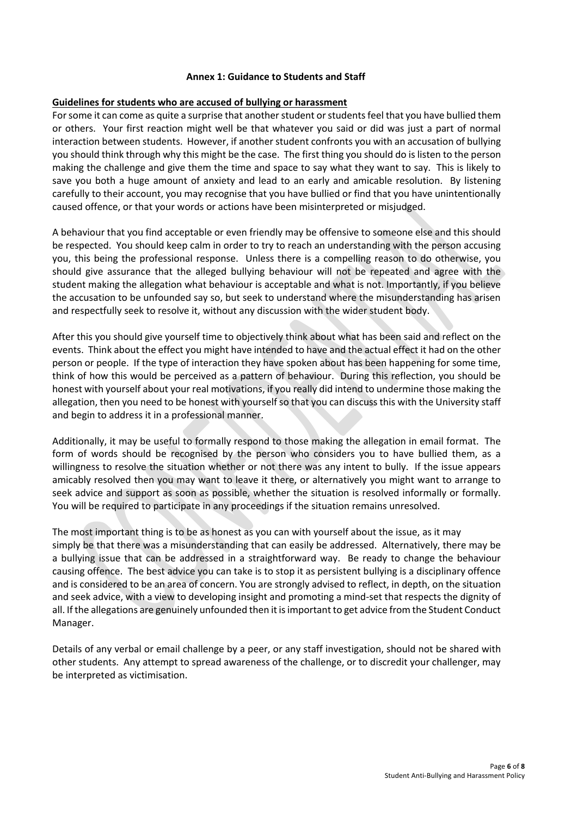### **Annex 1: Guidance to Students and Staff**

### **Guidelines for students who are accused of bullying or harassment**

For some it can come as quite a surprise that another student or students feel that you have bullied them or others. Your first reaction might well be that whatever you said or did was just a part of normal interaction between students. However, if another student confronts you with an accusation of bullying you should think through why this might be the case. The first thing you should do is listen to the person making the challenge and give them the time and space to say what they want to say. This is likely to save you both a huge amount of anxiety and lead to an early and amicable resolution. By listening carefully to their account, you may recognise that you have bullied or find that you have unintentionally caused offence, or that your words or actions have been misinterpreted or misjudged.

A behaviour that you find acceptable or even friendly may be offensive to someone else and this should be respected. You should keep calm in order to try to reach an understanding with the person accusing you, this being the professional response. Unless there is a compelling reason to do otherwise, you should give assurance that the alleged bullying behaviour will not be repeated and agree with the student making the allegation what behaviour is acceptable and what is not. Importantly, if you believe the accusation to be unfounded say so, but seek to understand where the misunderstanding has arisen and respectfully seek to resolve it, without any discussion with the wider student body.

After this you should give yourself time to objectively think about what has been said and reflect on the events. Think about the effect you might have intended to have and the actual effect it had on the other person or people. If the type of interaction they have spoken about has been happening for some time, think of how this would be perceived as a pattern of behaviour. During this reflection, you should be honest with yourself about your real motivations, if you really did intend to undermine those making the allegation, then you need to be honest with yourself so that you can discuss this with the University staff and begin to address it in a professional manner.

Additionally, it may be useful to formally respond to those making the allegation in email format. The form of words should be recognised by the person who considers you to have bullied them, as a willingness to resolve the situation whether or not there was any intent to bully. If the issue appears amicably resolved then you may want to leave it there, or alternatively you might want to arrange to seek advice and support as soon as possible, whether the situation is resolved informally or formally. You will be required to participate in any proceedings if the situation remains unresolved.

The most important thing is to be as honest as you can with yourself about the issue, as it may simply be that there was a misunderstanding that can easily be addressed. Alternatively, there may be a bullying issue that can be addressed in a straightforward way. Be ready to change the behaviour causing offence. The best advice you can take is to stop it as persistent bullying is a disciplinary offence and is considered to be an area of concern. You are strongly advised to reflect, in depth, on the situation and seek advice, with a view to developing insight and promoting a mind-set that respects the dignity of all. If the allegations are genuinely unfounded then it is important to get advice from the Student Conduct Manager.

Details of any verbal or email challenge by a peer, or any staff investigation, should not be shared with other students. Any attempt to spread awareness of the challenge, or to discredit your challenger, may be interpreted as victimisation.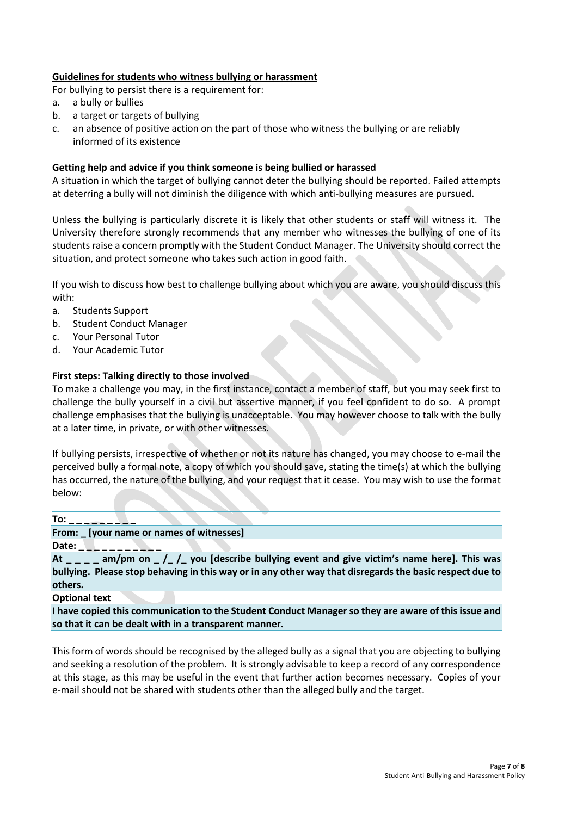### **Guidelines for students who witness bullying or harassment**

For bullying to persist there is a requirement for:

- a. a bully or bullies
- b. a target or targets of bullying
- c. an absence of positive action on the part of those who witness the bullying or are reliably informed of its existence

### **Getting help and advice if you think someone is being bullied or harassed**

A situation in which the target of bullying cannot deter the bullying should be reported. Failed attempts at deterring a bully will not diminish the diligence with which anti-bullying measures are pursued.

Unless the bullying is particularly discrete it is likely that other students or staff will witness it. The University therefore strongly recommends that any member who witnesses the bullying of one of its students raise a concern promptly with the Student Conduct Manager. The University should correct the situation, and protect someone who takes such action in good faith.

If you wish to discuss how best to challenge bullying about which you are aware, you should discuss this with:

- a. Students Support
- b. Student Conduct Manager
- c. Your Personal Tutor
- d. Your Academic Tutor

### **First steps: Talking directly to those involved**

To make a challenge you may, in the first instance, contact a member of staff, but you may seek first to challenge the bully yourself in a civil but assertive manner, if you feel confident to do so. A prompt challenge emphasises that the bullying is unacceptable. You may however choose to talk with the bully at a later time, in private, or with other witnesses.

If bullying persists, irrespective of whether or not its nature has changed, you may choose to e-mail the perceived bully a formal note, a copy of which you should save, stating the time(s) at which the bullying has occurred, the nature of the bullying, and your request that it cease. You may wish to use the format below:

**To: \_ \_ \_ \_ \_ \_ \_ \_ \_** 

**From: \_ [your name or names of witnesses]** 

Date: \_ \_ \_ \_ \_

**At \_ \_ \_ \_ am/pm on \_ /\_ /\_ you [describe bullying event and give victim's name here]. This was bullying. Please stop behaving in this way or in any other way that disregards the basic respect due to others.** 

**Optional text** 

**I have copied this communication to the Student Conduct Manager so they are aware of this issue and so that it can be dealt with in a transparent manner.** 

This form of words should be recognised by the alleged bully as a signal that you are objecting to bullying and seeking a resolution of the problem. It is strongly advisable to keep a record of any correspondence at this stage, as this may be useful in the event that further action becomes necessary. Copies of your e-mail should not be shared with students other than the alleged bully and the target.